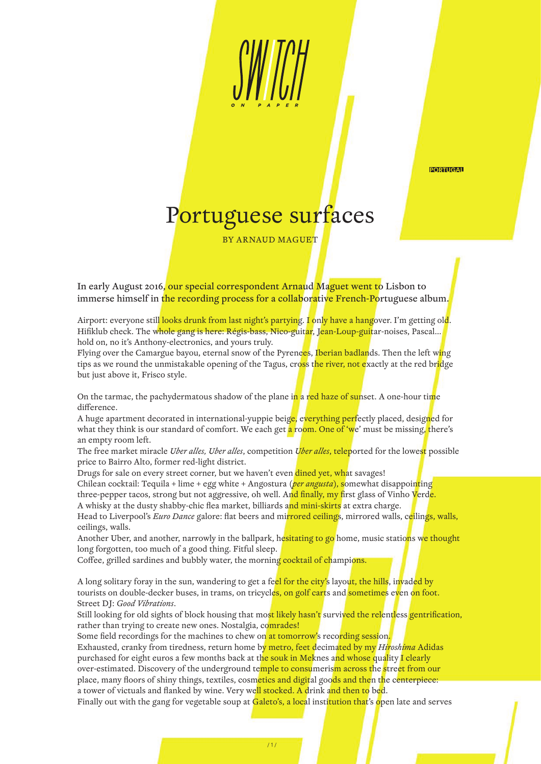**PORTUGAL** 

## Portuguese surfaces

BY ARNAUD MAGUET

In early August 2016, our special correspondent Arnaud Maguet went to Lisbon to immerse himself in the recording process for a collaborative French-Portuguese album.

Airport: everyone still looks drunk from last night's partying. I only have a hangover. I'm getting old. Hifiklub check. The whole gang is here: Régis-bass, Nico-guitar, Jean-Loup-guitar-noises, Pascal... hold on, no it's Anthony-electronics, and yours truly.

Flying over the Camargue bayou, eternal snow of the Pyrenees, Iberian badlands. Then the left wing tips as we round the unmistakable opening of the Tagus, cross the river, not exactly at the red bridge but just above it, Frisco style.

On the tarmac, the pachydermatous shadow of the plane in a red haze of sunset. A one-hour time difference

A huge apartment decorated in international-yuppie beig<mark>e,</mark> everything perfectly placed, designed for what they think is our standard of comfort. We each get a room. One of 'we' must be missing, there's an empty room left.

The free market miracle *Uber alles, Uber alles*, competition *Uber alles*, teleported for the lowest possible price to Bairro Alto, former red-light district.

Drugs for sale on every street corner, but we haven't even dined yet, what savages!

Chilean cocktail: Tequila + lime + egg white + Angostura (*per angusta*), somewhat disappointing three-pepper tacos, strong but not aggressive, oh well. And finally, my first glass of Vinho Verde. A whisky at the dusty shabby-chic flea market, billiards and mini-skirts at extra charge.

Head to Liverpool's *Euro Dance* galore: flat beers and mirrored ceilings, mirrored walls, ceilings, walls, ceilings, walls.

Another Uber, and another, narrowly in the ballpark, hesitating to go home, music stations we thought long forgotten, too much of a good thing. Fitful sleep.

Coffee, grilled sardines and bubbly water, the morning cocktail of champions.

A long solitary foray in the sun, wandering to get a feel for the city's layout, the hills, invaded by tourists on double-decker buses, in trams, on tricycles, on golf carts and sometimes even on foot. Street DJ: *Good Vibrations*.

Still looking for old sights of block housing that most likely hasn't survived the relentless gentrification, rather than trying to create new ones. Nostalgia, comrades!

Some field recordings for the machines to chew on at tomorrow's recording session.

Exhausted, cranky from tiredness, return home by metro, feet decimated by my *Hiroshima* Adidas purchased for eight euros a few months back at the souk in Meknes and whose quality I clearly over-estimated. Discovery of the underground temple to consumerism across the street from our place, many floors of shiny things, textiles, cosmetics and digital goods and then the centerpiece: a tower of victuals and flanked by wine. Very well stocked. A drink and then to bed.

Finally out with the gang for vegetable soup at Galeto's, a local institution that's open late and serves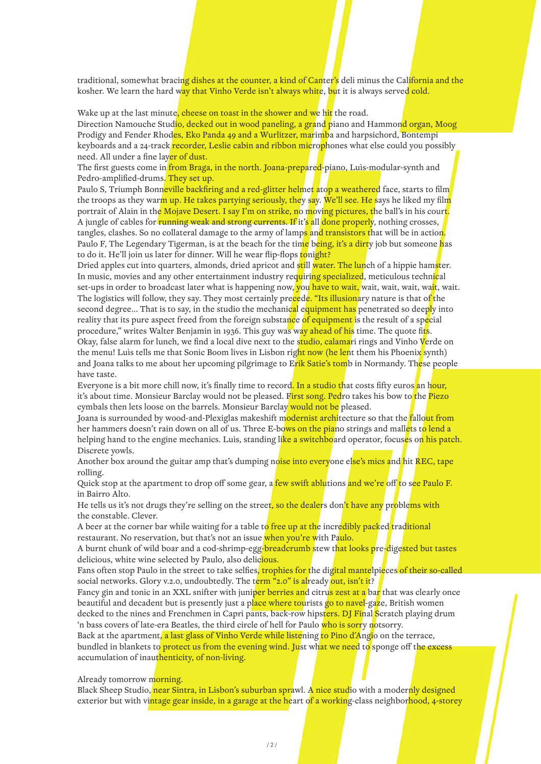traditional, somewhat bracing dishes at the counter, a kind of Canter's deli minus the California and the kosher. We learn the hard way that Vinho Verde isn't always white, but it is always served cold.

Wake up at the last minute, cheese on toast in the shower and we hit the road.

Direction Namouche Studio, decked out in wood paneling, a grand piano and Hammond organ, Moog Prodigy and Fender Rhodes, Eko Panda 49 and a Wurlitzer, marimba and harpsichord, Bontempi keyboards and a 24-track recorder, Leslie cabin and ribbon microphones what else could you possibly need. All under a fine layer of dust.

The first guests come in from Braga, in the north. Joana-prepared-piano, Luis-modular-synth and Pedro-amplified-drums. They set up.

Paulo S, Triumph Bonneville backfiring and a red-glitter helmet atop a weathered face, starts to film the troops as they warm up. He takes partying seriously, they say. We'll see. He says he liked my film portrait of Alain in the Mojave Desert. I say I'm on strike, no moving pictures, the ball's in his court. A jungle of cables for running weak and strong currents. If it's all done properly, nothing crosses, tangles, clashes. So no collateral damage to the army of lamps and transistors that will be in action. Paulo F, The Legendary Tigerman, is at the beach for the time being, it's a dirty job but someone has to do it. He'll join us later for dinner. Will he wear flip-flops tonight?

Dried apples cut into quarters, almonds, dried apricot and still water. The lunch of a hippie hamster. In music, movies and any other entertainment industry requiring specialized, meticulous technical set-ups in order to broadcast later what is happening now, you have to wait, wait, wait, wait, wait, wait. The logistics will follow, they say. They most certainly precede. "Its illusionary nature is that of the second degree... That is to say, in the studio the mechanical equipment has penetrated so deeply into reality that its pure aspect freed from the foreign substance of equipment is the result of a special procedure," writes Walter Benjamin in 1936. This guy was way ahead of his time. The quote fits. Okay, false alarm for lunch, we find a local dive next to the studio, calamari rings and Vinho Verde on the menu! Luìs tells me that Sonic Boom lives in Lisbon right now (he lent them his Phoenix synth) and Joana talks to me about her upcoming pilgrimage to Erik Satie's tomb in Normandy. These people have taste.

Everyone is a bit more chill now, it's finally time to record. In a studio that costs fifty euros an hour, it's about time. Monsieur Barclay would not be pleased. First song. Pedro takes his bow to the Piezo cymbals then lets loose on the barrels. Monsieur Barclay would not be pleased.

Joana is surrounded by wood-and-Plexiglas makeshift m<mark>odernist arch</mark>itecture so that the <mark>f</mark>allo<mark>ut from</mark> her hammers doesn't rain down on all of us. Three E-bows on the piano strings and mallets to lend a helping hand to the engine mechanics. Luìs, standing like a switchboard operator, focuses on his patch. Discrete yowls.

Another box around the guitar amp that's dumping noise into everyone else's mics and hit REC, tape rolling.

Quick stop at the apartment to drop off some gear, a few swift ablutions and we're off to see Paulo F. in Bairro Alto.

He tells us it's not drugs they're selling on the street, so the dealers don't have any problems with the constable. Clever.

A beer at the corner bar while waiting for a table to free up at the incredibly packed traditional restaurant. No reservation, but that's not an issue when you're with Paulo.

A burnt chunk of wild boar and a cod-shrimp-egg-breadcrumb stew that looks pre-digested but tastes delicious, white wine selected by Paulo, also delicious.

Fans often stop Paulo in the street to take selfies, trophies for the digital mantelpieces of their so-called social networks. Glory v.2.0, undoubtedly. The term "2.0" is already out, isn't it?

Fancy gin and tonic in an XXL snifter with juniper berries and citrus zest at a bar that was clearly once beautiful and decadent but is presently just a place where tourists go to navel-gaze, British women decked to the nines and Frenchmen in Capri pants, back-row hipsters. DJ Final Scratch playing drum 'n bass covers of late-era Beatles, the third circle of hell for Paulo who is sorry notsorry.

Back at the apartment, a last glass of Vinho Verde while listening to Pino d'Angio on the terrace, bundled in blankets to **protect us from the evening wind. Just what we need to** sponge off the excess accumulation of inauthenticity, of non-living.

Already tomorrow morning.

Black Sheep Studio, near Sintra, in Lisbon's suburban sprawl. A nice studio with a modernly designed exterior but with vintage gear inside, in a garage at the heart of a working-class neighborhood, 4-storey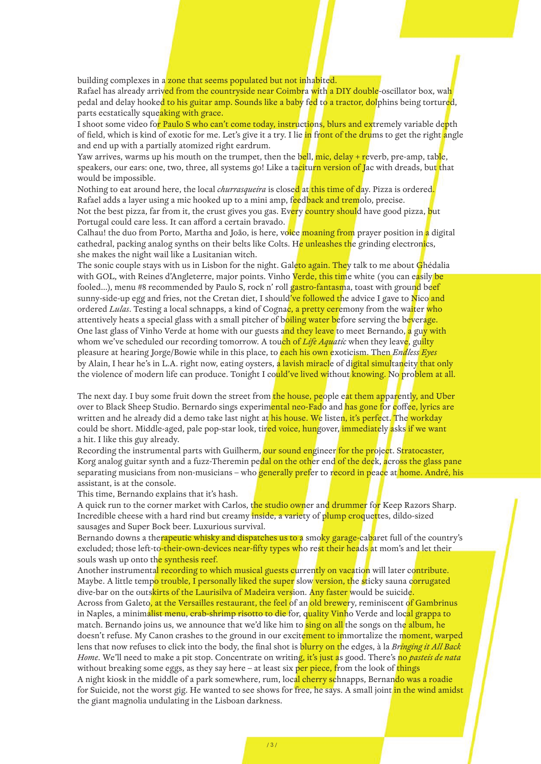building complexes in a zone that seems populated but not inhabited.

Rafael has already arrived from the countryside near Coimbra with a DIY double-oscillator box, wah pedal and delay hooked to his guitar amp. Sounds like a baby fed to a tractor, dolphins being tortured, parts ecstatically squeaking with grace.

I shoot some video for Paulo S who can't come today, instructions, blurs and extremely variable depth of field, which is kind of exotic for me. Let's give it a try. I lie in front of the drums to get the right angle and end up with a partially atomized right eardrum.

Yaw arrives, warms up his mouth on the trumpet, then the bell, mic, delay + reverb, pre-amp, table, speakers, our ears: one, two, three, all systems go! Like a taciturn version of Jac with dreads, but that would be impossible.

Nothing to eat around here, the local *churrasqueira* is closed at this time of day. Pizza is ordered. Rafael adds a layer using a mic hooked up to a mini amp, feedback and tremolo, precise. Not the best pizza, far from it, the crust gives you gas. Every country should have good pizza, but Portugal could care less. It can afford a certain bravado.

Calhau! the duo from Porto, Martha and João, is here, voice moaning from prayer position in a digital cathedral, packing analog synths on their belts like Colts. He unleashes the grinding electronics, she makes the night wail like a Lusitanian witch.

The sonic couple stays with us in Lisbon for the night. Galeto again. They talk to me about Ghédalia with GOL, with Reines d'Angleterre, major points. Vinho Verde, this time white (you can easily be fooled...), menu #8 recommended by Paulo S, rock n' roll gastro-fantasma, toast with ground beef sunny-side-up egg and fries, not the Cretan diet, I should've followed the advice I gave to Nico and ordered *Lulas*. Testing a local schnapps, a kind of Cognac, a pretty ceremony from the waiter who attentively heats a special glass with a small pitcher of boiling water before serving the beverage. One last glass of Vinho Verde at home with our guests and they leave to meet Bernando, a guy with whom we've scheduled our recording tomorrow. A tou<mark>ch of Life Aqua</mark>tic when they leave, guilty pleasure at hearing Jorge/Bowie while in this place, to each his own exoticism. Then *Endless Eyes*  by Alain, I hear he's in L.A. right now, eating oysters, a lavish miracle of digital simultaneity that only the violence of modern life can produce. Tonight I could've lived without knowing. No problem at all.

The next day. I buy some fruit down the street from the house, people eat them apparently, and Uber over to Black Sheep Studio. Bernardo sings experimental neo-Fado and has gone for coffee, lyrics are written and he already did a demo take last night at his house. We listen, it's perfect. The workday could be short. Middle-aged, pale pop-star look, tired voice, hungover, immediately asks if we want a hit. I like this guy already.

Recording the instrumental parts with Guilherm, our sound engineer for the project. Stratocaster, Korg analog guitar synth and a fuzz-Theremin pedal on the other end of the deck, across the glass pane separating musicians from non-musicians – who generally prefer to record in peace at home. André, his assistant, is at the console.

This time, Bernando explains that it's hash.

A quick run to the corner market with Carlos, the studio owner and drummer for Keep Razors Sharp. Incredible cheese with a hard rind but creamy inside, a variety of plump croquettes, dildo-sized sausages and Super Bock beer. Luxurious survival.

Bernando downs a the<mark>rapeutic whisky and dispatches us to a</mark> smo<mark>ky garage-</mark>cabaret full of the country's excluded; those left-to-their-own-devices near-fifty types who rest their heads at mom's and let their souls wash up onto the synthesis reef.

Another instrumental recording to which musical guests currently on vacation will later contribute. Maybe. A little tempo trouble, I personally liked the super slow version, the sticky sauna corrugated dive-bar on the outskirts of the Laurisilva of Madeira version. Any faster would be suicide.

Across from Galeto, at the Versailles restaurant, the feel of an old brewery, reminiscent of Gambrinus in Naples, a minimalist menu, crab-shrimp risotto to die for, quality Vinho Verde and local grappa to match. Bernando joins us, we announce that we'd like him to sing on all the songs on the album, he doesn't refuse. My Canon crashes to the ground in our excitement to immortalize the moment, warped lens that now refuses to click into the body, the final shot is blurry on the edges, à la *Bringing it All Back Home*. We'll need to make a pit stop. Concentrate on writing, it's just as good. There's no *pasteis de nata* without breaking some eggs, as they say here  $-$  at least six per piece, from the look of things A night kiosk in the middle of a park somewhere, rum, local cherry schnapps, Bernando was a roadie for Suicide, not the worst gig. He wanted to see shows for free, he says. A small joint <mark>in the wind amidst</mark> the giant magnolia undulating in the Lisboan darkness.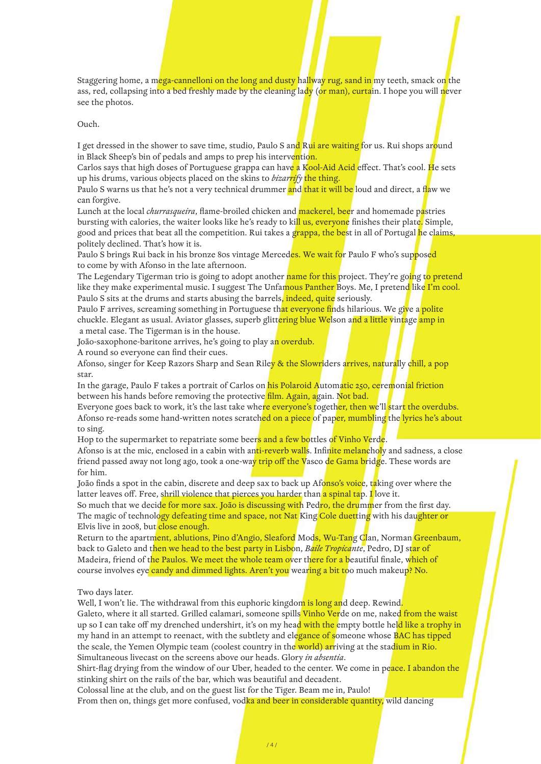Staggering home, a mega-cannelloni on the long and dusty hallway rug, sand in my teeth, smack on the ass, red, collapsing into a bed freshly made by the cleaning lady (or man), curtain. I hope you will never see the photos.

Ouch.

I get dressed in the shower to save time, studio, Paulo S and Rui are waiting for us. Rui shops around in Black Sheep's bin of pedals and amps to prep his intervention.

Carlos says that high doses of Portuguese grappa can have a Kool-Aid Acid effect. That's cool. He sets up his drums, various objects placed on the skins to *bizarrify* the thing.

Paulo S warns us that he's not a very technical drummer and that it will be loud and direct, a flaw we can forgive.

Lunch at the local *churrasqueira*, flame-broiled chicken and mackerel, beer and homemade pastries bursting with calories, the waiter looks like he's ready to kill us, everyone finishes their plate. Simple, good and prices that beat all the competition. Rui takes a g<mark>rappa, the be</mark>st in all of Portugal <mark>h</mark>e claims**,** politely declined. That's how it is.

Paulo S brings Rui back in his bronze 80s vintage Merced<mark>es. We wait fo</mark>r Paulo F who's suppose<mark>d</mark> to come by with Afonso in the late afternoon.

The Legendary Tigerman trio is going to adopt another name for this project. They're going to pretend like they make experimental music. I suggest The Unfamous Panther Boys. Me, I pretend like I'm cool. Paulo S sits at the drums and starts abusing the barrels, indeed, quite seriously.

Paulo F arrives, screaming something in Portuguese that everyone finds hilarious. We give a polite chuckle. Elegant as usual. Aviator glasses, superb glitt<mark>ering blue We</mark>lson and a little vintage amp in a metal case. The Tigerman is in the house.

João-saxophone-baritone arrives, he's going to play an overdub.

A round so everyone can find their cues.

Afonso, singer for Keep Razors Sharp and Sean Riley & the Slowriders arrives, naturally chill, a pop star.

In the garage, Paulo F takes a portrait of Carlos on his Polaroid Automatic 250, ceremonial friction between his hands before removing the protective film. Again, again. Not bad.

Everyone goes back to work, it's the last take where everyone's together, then we'll start the overdubs. Afonso re-reads some hand-written notes scratched on a piece of paper, mumbling the lyrics he's about to sing.

Hop to the supermarket to repatriate some beers and a few bottles of Vinho Verde.

Afonso is at the mic, enclosed in a cabin with anti-reverb walls. Infinite melancholy and sadness, a close friend passed away not long ago, took a one-way trip off the Vasco de Gama bridge. These words are for him.

João finds a spot in the cabin, discrete and deep sax to back up Afonso's voice, taking over where the latter leaves off. Free, shrill violence that pierces you harder than a spinal tap. I love it.

So much that we decide for more sax. João is discussing with Pedro, the drummer from the first day. The magic of technology defeating time and space, not Nat King Cole duetting with his daughter or Elvis live in 2008, but close enough.

Return to the apartment, ablutions, Pino d'Angio, Sleaford Mods, Wu-Tang Clan, Norman Greenbaum, back to Galeto and then we head to the best party in Lisbon, *Baile Tropicante*, Pedro, DJ star of Madeira, friend of the Paulos. We meet the whole team over there for a beautiful finale, which of course involves eye candy and dimmed lights. Aren't you wearing a bit too much makeup? No.

## Two days later.

Well, I won't lie. The withdrawal from this euphoric kingdom is long and deep. Rewind.

Galeto, where it all started. Grilled calamari, someone spills Vinho Verde on me, naked from the waist up so I can take off my drenched undershirt, it's on my head with the empty bottle held like a trophy in my hand in an attempt to reenact, with the subtlety and elegance of someone whose BAC has tipped the scale, the Yemen Olympic team (coolest country in the world) arriving at the stadium in Rio. Simultaneous livecast on the screens above our heads. Glory *in absentia*.

Shirt-flag drying from the window of our Uber, headed to the center. We come in peace. I abandon the stinking shirt on the rails of the bar, which was beautiful and decadent.

Colossal line at the club, and on the guest list for the Tiger. Beam me in, Paulo!

From then on, things get more confused, vodka and beer in considerable quantity, wild dancing